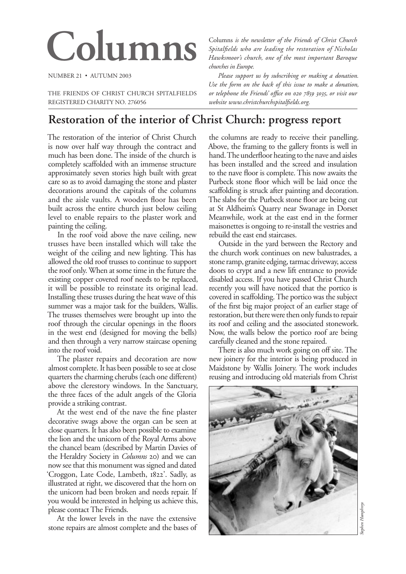# Columns *is the newsletter of the Friends of Christ Church*<br>Spitalfields who are leading the restoration of Nicholas<br>Hawksmoor's church, one of the most important Baroaue

NUMBER 21 • AUTUMN 2003

THE FRIENDS OF CHRIST CHURCH SPITALFIELDS REGISTERED CHARITY NO. 276056

*Spitalfields who are leading the restoration of Nicholas Hawksmoor's church, one of the most important Baroque churches in Europe.*

*Please support us by subscribing or making a donation. Use the form on the back of this issue to make a donation, or telephone the Friends' office on 020 7859 3035, or visit our website www.christchurchspitalfields.org.*

# **Restoration of the interior of Christ Church: progress report**

The restoration of the interior of Christ Church is now over half way through the contract and much has been done. The inside of the church is completely scaffolded with an immense structure approximately seven stories high built with great care so as to avoid damaging the stone and plaster decorations around the capitals of the columns and the aisle vaults. A wooden floor has been built across the entire church just below ceiling level to enable repairs to the plaster work and painting the ceiling.

In the roof void above the nave ceiling, new trusses have been installed which will take the weight of the ceiling and new lighting. This has allowed the old roof trusses to continue to support the roof only. When at some time in the future the existing copper covered roof needs to be replaced, it will be possible to reinstate its original lead. Installing these trusses during the heat wave of this summer was a major task for the builders, Wallis. The trusses themselves were brought up into the roof through the circular openings in the floors in the west end (designed for moving the bells) and then through a very narrow staircase opening into the roof void.

The plaster repairs and decoration are now almost complete. It has been possible to see at close quarters the charming cherubs (each one different) above the clerestory windows. In the Sanctuary, the three faces of the adult angels of the Gloria provide a striking contrast.

At the west end of the nave the fine plaster decorative swags above the organ can be seen at close quarters. It has also been possible to examine the lion and the unicorn of the Royal Arms above the chancel beam (described by Martin Davies of the Heraldry Society in *Columns* 20) and we can now see that this monument was signed and dated 'Croggon, Late Code, Lambeth, 1822'. Sadly, as illustrated at right, we discovered that the horn on the unicorn had been broken and needs repair. If you would be interested in helping us achieve this, please contact The Friends.

At the lower levels in the nave the extensive stone repairs are almost complete and the bases of

the columns are ready to receive their panelling. Above, the framing to the gallery fronts is well in hand. The underfloor heating to the nave and aisles has been installed and the screed and insulation to the nave floor is complete. This now awaits the Purbeck stone floor which will be laid once the scaffolding is struck after painting and decoration. The slabs for the Purbeck stone floor are being cut at St Aldheim's Quarry near Swanage in Dorset Meanwhile, work at the east end in the former maisonettes is ongoing to re-install the vestries and rebuild the east end staircases.

Outside in the yard between the Rectory and the church work continues on new balustrades, a stone ramp, granite edging, tarmac driveway, access doors to crypt and a new lift entrance to provide disabled access. If you have passed Christ Church recently you will have noticed that the portico is covered in scaffolding. The portico was the subject of the first big major project of an earlier stage of restoration, but there were then only funds to repair its roof and ceiling and the associated stonework. Now, the walls below the portico roof are being carefully cleaned and the stone repaired.

There is also much work going on off site. The new joinery for the interior is being produced in Maidstone by Wallis Joinery. The work includes reusing and introducing old materials from Christ

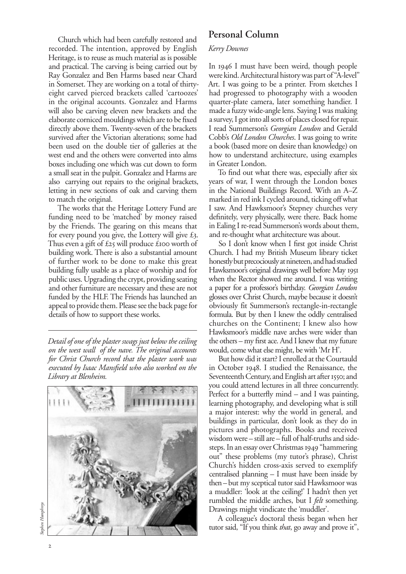Church which had been carefully restored and recorded. The intention, approved by English Heritage, is to reuse as much material as is possible and practical. The carving is being carried out by Ray Gonzalez and Ben Harms based near Chard in Somerset. They are working on a total of thirtyeight carved pierced brackets called 'cartoozes' in the original accounts. Gonzalez and Harms will also be carving eleven new brackets and the elaborate corniced mouldings which are to be fixed directly above them. Twenty-seven of the brackets survived after the Victorian alterations; some had been used on the double tier of galleries at the west end and the others were converted into alms boxes including one which was cut down to form a small seat in the pulpit. Gonzalez and Harms are also carrying out repairs to the original brackets, letting in new sections of oak and carving them to match the original.

The works that the Heritage Lottery Fund are funding need to be 'matched' by money raised by the Friends. The gearing on this means that for every pound you give, the Lottery will give  $\mathcal{L}_3$ . Thus even a gift of  $\pounds$ 25 will produce  $\pounds$ 100 worth of building work. There is also a substantial amount of further work to be done to make this great building fully usable as a place of worship and for public uses. Upgrading the crypt, providing seating and other furniture are necessary and these are not funded by the HLF. The Friends has launched an appeal to provide them. Please see the back page for details of how to support these works.

*Detail of one of the plaster swags just below the ceiling on the west wall of the nave. The original accounts for Christ Church record that the plaster work was executed by Isaac Mansfield who also worked on the Library at Blenheim.*



# **Personal Column**

#### *Kerry Downes*

In 1946 I must have been weird, though people were kind. Architectural history was part of "A-level" Art. I was going to be a printer. From sketches I had progressed to photography with a wooden quarter-plate camera, later something handier. I made a fuzzy wide-angle lens. Saying I was making a survey, I got into all sorts of places closed for repair. I read Summerson's *Georgian London* and Gerald Cobb's *Old London Churches*. I was going to write a book (based more on desire than knowledge) on how to understand architecture, using examples in Greater London.

To find out what there was, especially after six years of war, I went through the London boxes in the National Buildings Record. With an A–Z marked in red ink I cycled around, ticking off what I saw. And Hawksmoor's Stepney churches very definitely, very physically, were there. Back home in Ealing I re-read Summerson's words about them, and re-thought what architecture was about.

So I don't know when I first got inside Christ Church. I had my British Museum library ticket honestly but precociously at nineteen, and had studied Hawksmoor's original drawings well before May when the Rector showed me around. I was writing a paper for a professor's birthday. *Georgian London* glosses over Christ Church, maybe because it doesn't obviously fit Summerson's rectangle-in-rectangle formula. But by then I knew the oddly centralised churches on the Continent; I knew also how Hawksmoor's middle nave arches were wider than the others – my first ace. And I knew that my future would, come what else might, be with 'Mr H'.

But how did it start? I enrolled at the Courtauld in October 1948. I studied the Renaissance, the Seventeenth Century, and English art after 1550; and you could attend lectures in all three concurrently. Perfect for a butterfly mind – and I was painting, learning photography, and developing what is still a major interest: why the world in general, and buildings in particular, don't look as they do in pictures and photographs. Books and received wisdom were – still are – full of half-truths and sidesteps. In an essay over Christmas 1949 "hammering out" these problems (my tutor's phrase), Christ Church's hidden cross-axis served to exemplify centralised planning – I must have been inside by then – but my sceptical tutor said Hawksmoor was a muddler: 'look at the ceiling!' I hadn't then yet rumbled the middle arches, but I *felt* something. Drawings might vindicate the 'muddler'.

A colleague's doctoral thesis began when her tutor said, "If you think *that*, go away and prove it",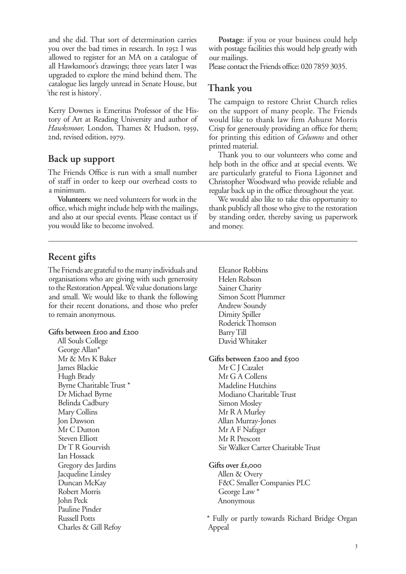and she did. That sort of determination carries you over the bad times in research. In 1952 I was allowed to register for an MA on a catalogue of all Hawksmoor's drawings; three years later I was upgraded to explore the mind behind them. The catalogue lies largely unread in Senate House, but 'the rest is history'.

Kerry Downes is Emeritus Professor of the History of Art at Reading University and author of *Hawksmoor, London, Thames & Hudson, 1959,* 2nd, revised edition, 1979.

### **Back up support**

The Friends Office is run with a small number of staff in order to keep our overhead costs to a minimum.

**Volunteers**: we need volunteers for work in the office, which might include help with the mailings, and also at our special events. Please contact us if you would like to become involved.

**Postage**: if you or your business could help with postage facilities this would help greatly with our mailings.

Please contact the Friends office: 020 7859 3035.

# **Thank you**

The campaign to restore Christ Church relies on the support of many people. The Friends would like to thank law firm Ashurst Morris Crisp for generously providing an office for them; for printing this edition of *Columns* and other printed material.

Thank you to our volunteers who come and help both in the office and at special events. We are particularly grateful to Fiona Ligonnet and Christopher Woodward who provide reliable and regular back up in the office throughout the year.

We would also like to take this opportunity to thank publicly all those who give to the restoration by standing order, thereby saving us paperwork and money.

# **Recent gifts**

The Friends are grateful to the many individuals and organisations who are giving with such generosity to the Restoration Appeal. We value donations large and small. We would like to thank the following for their recent donations, and those who prefer to remain anonymous.

#### **Gifts between £100 and £200**

All Souls College George Allan\* Mr & Mrs K Baker James Blackie Hugh Brady Byrne Charitable Trust \* Dr Michael Byrne Belinda Cadbury Mary Collins Jon Dawson Mr C Dutton Steven Elliott Dr T R Gourvish Ian Hossack Gregory des Jardins Jacqueline Linsley Duncan McKay Robert Morris John Peck Pauline Pinder Russell Potts Charles & Gill Refoy

Eleanor Robbins Helen Robson Sainer Charity Simon Scott Plummer Andrew Soundy Dimity Spiller Roderick Thomson Barry Till David Whitaker

#### **Gifts between £200 and £500**

Mr C J Cazalet Mr G A Collens Madeline Hutchins Modiano Charitable Trust Simon Mosley Mr R A Murley Allan Murray-Jones Mr A F Nafzger Mr R Prescott Sir Walker Carter Charitable Trust

**Gifts over £,**

Allen & Overy F&C Smaller Companies PLC George Law \* Anonymous

\* Fully or partly towards Richard Bridge Organ Appeal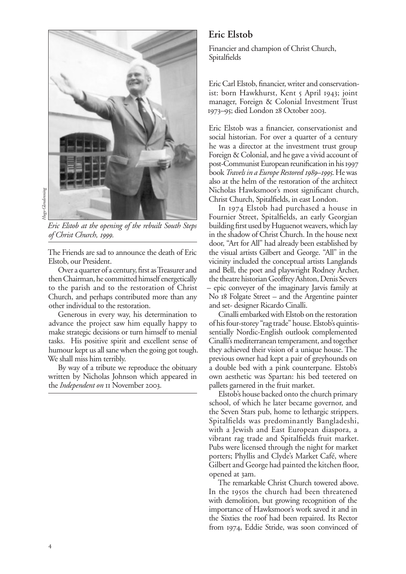

*Eric Elstob at the opening of the rebuilt South Steps of Christ Church, .* 

The Friends are sad to announce the death of Eric Elstob, our President.

Over a quarter of a century, first as Treasurer and then Chairman, he committed himself energetically to the parish and to the restoration of Christ Church, and perhaps contributed more than any other individual to the restoration.

Generous in every way, his determination to advance the project saw him equally happy to make strategic decisions or turn himself to menial tasks. His positive spirit and excellent sense of humour kept us all sane when the going got tough. We shall miss him terribly.

By way of a tribute we reproduce the obituary written by Nicholas Johnson which appeared in the *Independent on* II November 2003.

#### **Eric Elstob**

Financier and champion of Christ Church, Spitalfields

Eric Carl Elstob, financier, writer and conservationist: born Hawkhurst, Kent 5 April 1943; joint manager, Foreign & Colonial Investment Trust 1973–95; died London 28 October 2003.

Eric Elstob was a financier, conservationist and social historian. For over a quarter of a century he was a director at the investment trust group Foreign & Colonial, and he gave a vivid account of post-Communist European reunification in his book *Travels in a Europe Restored 1989–1995*. He was also at the helm of the restoration of the architect Nicholas Hawksmoor's most significant church, Christ Church, Spitalfields, in east London.

In 1974 Elstob had purchased a house in Fournier Street, Spitalfields, an early Georgian building first used by Huguenot weavers, which lay in the shadow of Christ Church. In the house next door, "Art for All" had already been established by the visual artists Gilbert and George. "All" in the vicinity included the conceptual artists Langlands and Bell, the poet and playwright Rodney Archer, the theatre historian Geoffrey Ashton, Denis Severs – epic conveyer of the imaginary Jarvis family at No 18 Folgate Street – and the Argentine painter and set- designer Ricardo Cinalli.

Cinalli embarked with Elstob on the restoration of his four-storey "rag trade" house. Elstob's quintissentially Nordic-English outlook complemented Cinalli's mediterranean temperament, and together they achieved their vision of a unique house. The previous owner had kept a pair of greyhounds on a double bed with a pink counterpane. Elstob's own aesthetic was Spartan: his bed teetered on pallets garnered in the fruit market.

Elstob's house backed onto the church primary school, of which he later became governor, and the Seven Stars pub, home to lethargic strippers. Spitalfields was predominantly Bangladeshi, with a Jewish and East European diaspora, a vibrant rag trade and Spitalfields fruit market. Pubs were licensed through the night for market porters; Phyllis and Clyde's Market Café, where Gilbert and George had painted the kitchen floor, opened at am.

The remarkable Christ Church towered above. In the 1950s the church had been threatened with demolition, but growing recognition of the importance of Hawksmoor's work saved it and in the Sixties the roof had been repaired. Its Rector from 1974, Eddie Stride, was soon convinced of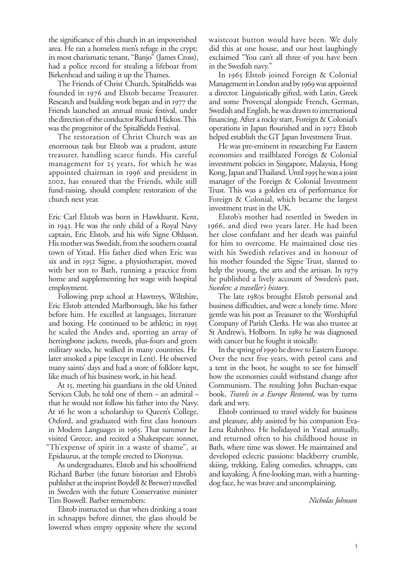the significance of this church in an impoverished area. He ran a homeless men's refuge in the crypt; its most charismatic tenant, "Banjo" (James Cross), had a police record for stealing a lifeboat from Birkenhead and sailing it up the Thames.

The Friends of Christ Church, Spitalfields was founded in 1976 and Elstob became Treasurer. Research and building work began and in 1977 the Friends launched an annual music festival, under the direction of the conductor Richard Hickox. This was the progenitor of the Spitalfields Festival.

The restoration of Christ Church was an enormous task but Elstob was a prudent, astute treasurer, handling scarce funds. His careful management for 25 years, for which he was appointed chairman in 1996 and president in , has ensured that the Friends, while still fund-raising, should complete restoration of the church next year.

Eric Carl Elstob was born in Hawkhurst, Kent, in 1943. He was the only child of a Royal Navy captain, Eric Elstob, and his wife Signe Ohlsson. His mother was Swedish, from the southern coastal town of Ystad. His father died when Eric was six and in 1952 Signe, a physiotherapist, moved with her son to Bath, running a practice from home and supplementing her wage with hospital employment.

Following prep school at Hawtreys, Wiltshire, Eric Elstob attended Marlborough, like his father before him. He excelled at languages, literature and boxing. He continued to be athletic; in he scaled the Andes and, sporting an array of herringbone jackets, tweeds, plus-fours and green military socks, he walked in many countries. He later smoked a pipe (except in Lent). He observed many saints' days and had a store of folklore kept, like much of his business work, in his head.

At 15, meeting his guardians in the old United Services Club, he told one of them – an admiral – that he would not follow his father into the Navy. At 16 he won a scholarship to Queen's College, Oxford, and graduated with first class honours in Modern Languages in 1965. That summer he visited Greece, and recited a Shakespeare sonnet, "Th'expense of spirit in a waste of shame", at Epidaurus, at the temple erected to Dionysus.

As undergraduates, Elstob and his schoolfriend Richard Barber (the future historian and Elstob's publisher at the imprint Boydell & Brewer) travelled in Sweden with the future Conservative minister Tim Boswell. Barber remembers:

Elstob instructed us that when drinking a toast in schnapps before dinner, the glass should be lowered when empty opposite where the second

waistcoat button would have been. We duly did this at one house, and our host laughingly exclaimed "You can't all three of you have been in the Swedish navy."

In 1965 Elstob joined Foreign & Colonial Management in London and by 1969 was appointed a director. Linguistically gifted, with Latin, Greek and some Provençal alongside French, German, Swedish and English, he was drawn to international financing. After a rocky start, Foreign & Colonial's operations in Japan flourished and in 1972 Elstob helped establish the GT Japan Investment Trust.

He was pre-eminent in researching Far Eastern economies and trailblazed Foreign & Colonial investment policies in Singapore, Malaysia, Hong Kong, Japan and Thailand. Until 1995 he was a joint manager of the Foreign & Colonial Investment Trust. This was a golden era of performance for Foreign & Colonial, which became the largest investment trust in the UK.

Elstob's mother had resettled in Sweden in 1966, and died two years later. He had been her close confidant and her death was painful for him to overcome. He maintained close ties with his Swedish relatives and in honour of his mother founded the Signe Trust, slanted to help the young, the arts and the artisan. In 1979 he published a lively account of Sweden's past, *Sweden: a traveller's history*.

The late 1980s brought Elstob personal and business difficulties, and were a lonely time. More gentle was his post as Treasurer to the Worshipful Company of Parish Clerks. He was also trustee at St Andrew's, Holborn. In 1989 he was diagnosed with cancer but he fought it stoically.

In the spring of 1990 he drove to Eastern Europe. Over the next five years, with petrol cans and a tent in the boot, he sought to see for himself how the economies could withstand change after Communism. The resulting John Buchan-esque book, *Travels in a Europe Restored*, was by turns dark and wry.

Elstob continued to travel widely for business and pleasure, ably assisted by his companion Eva-Lena Ruhnbro. He holidayed in Ystad annually, and returned often to his childhood house in Bath, where time was slower. He maintained and developed eclectic passions: blackberry crumble, skiing, trekking, Ealing comedies, schnapps, cats and kayaking. A fine-looking man, with a huntingdog face, he was brave and uncomplaining.

*Nicholas Johnson*